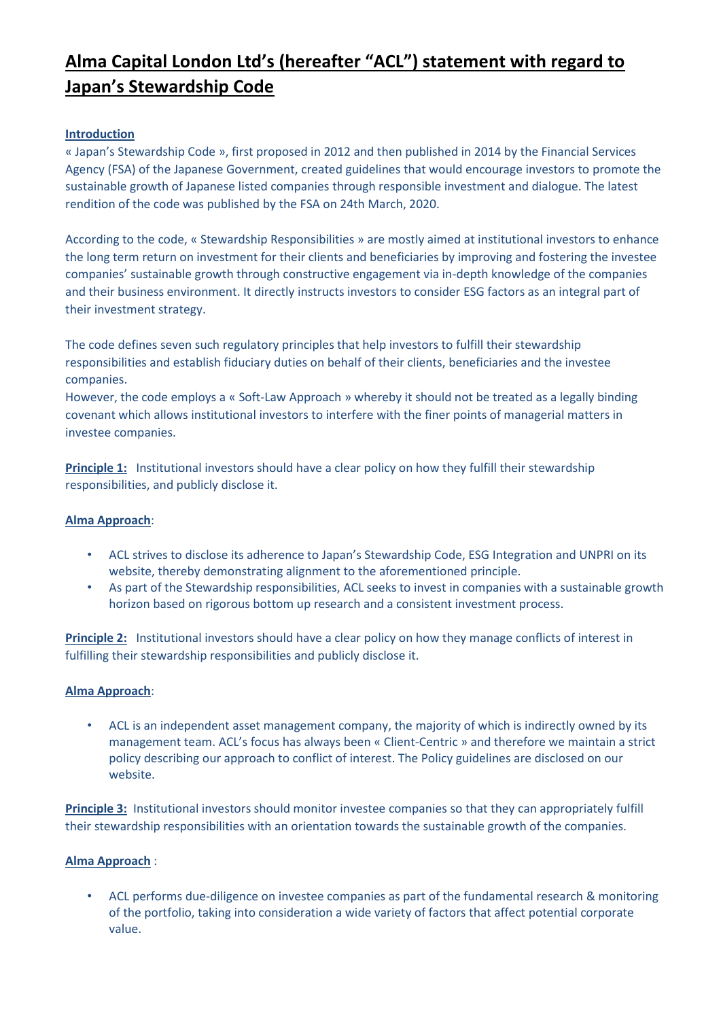# **Alma Capital London Ltd's (hereafter "ACL") statement with regard to Japan's Stewardship Code**

## **Introduction**

« Japan's Stewardship Code », first proposed in 2012 and then published in 2014 by the Financial Services Agency (FSA) of the Japanese Government, created guidelines that would encourage investors to promote the sustainable growth of Japanese listed companies through responsible investment and dialogue. The latest rendition of the code was published by the FSA on 24th March, 2020.

According to the code, « Stewardship Responsibilities » are mostly aimed at institutional investors to enhance the long term return on investment for their clients and beneficiaries by improving and fostering the investee companies' sustainable growth through constructive engagement via in-depth knowledge of the companies and their business environment. It directly instructs investors to consider ESG factors as an integral part of their investment strategy.

The code defines seven such regulatory principles that help investors to fulfill their stewardship responsibilities and establish fiduciary duties on behalf of their clients, beneficiaries and the investee companies.

However, the code employs a « Soft-Law Approach » whereby it should not be treated as a legally binding covenant which allows institutional investors to interfere with the finer points of managerial matters in investee companies.

**Principle 1:** Institutional investors should have a clear policy on how they fulfill their stewardship responsibilities, and publicly disclose it.

#### **Alma Approach**:

- ACL strives to disclose its adherence to Japan's Stewardship Code, ESG Integration and UNPRI on its website, thereby demonstrating alignment to the aforementioned principle.
- As part of the Stewardship responsibilities, ACL seeks to invest in companies with a sustainable growth horizon based on rigorous bottom up research and a consistent investment process.

**Principle 2:** Institutional investors should have a clear policy on how they manage conflicts of interest in fulfilling their stewardship responsibilities and publicly disclose it.

#### **Alma Approach**:

• ACL is an independent asset management company, the majority of which is indirectly owned by its management team. ACL's focus has always been « Client-Centric » and therefore we maintain a strict policy describing our approach to conflict of interest. The Policy guidelines are disclosed on our website.

**Principle 3:** Institutional investors should monitor investee companies so that they can appropriately fulfill their stewardship responsibilities with an orientation towards the sustainable growth of the companies.

#### **Alma Approach** :

• ACL performs due-diligence on investee companies as part of the fundamental research & monitoring of the portfolio, taking into consideration a wide variety of factors that affect potential corporate value.